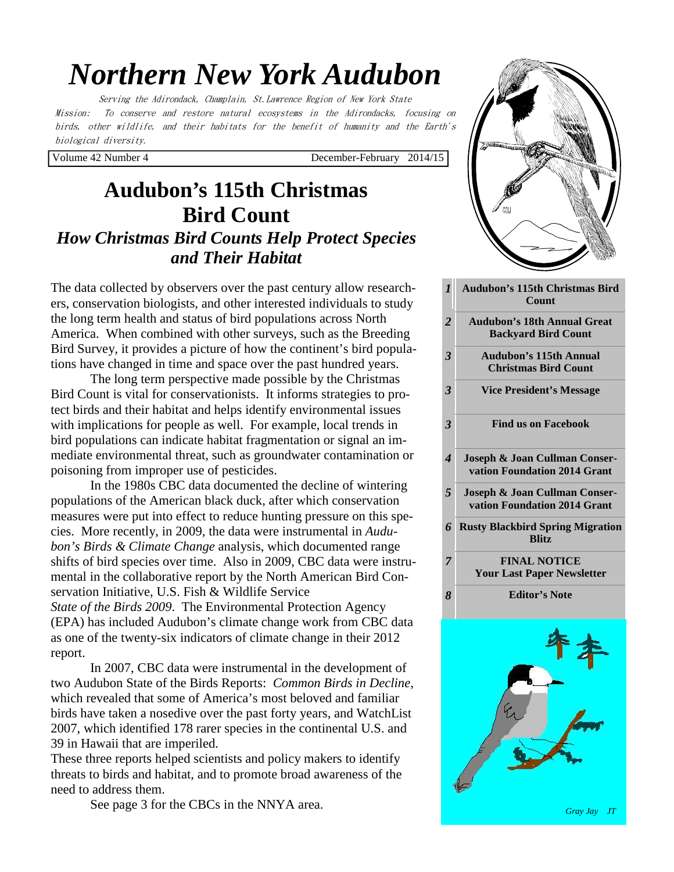# *Northern New York Audubon*

Serving the Adirondack, Champlain, St.Lawrence Region of New York State Mission: To conserve and restore natural ecosystems in the Adirondacks, focusing on birds, other wildlife, and their habitats for the benefit of humanity and the Earth's biological diversity.

Volume 42 Number 4 December-February 2014/15

*1* 

## **Audubon's 115th Christmas Bird Count** *How Christmas Bird Counts Help Protect Species and Their Habitat*

The data collected by observers over the past century allow researchers, conservation biologists, and other interested individuals to study the long term health and status of bird populations across North America. When combined with other surveys, such as the Breeding Bird Survey, it provides a picture of how the continent's bird populations have changed in time and space over the past hundred years.

 The long term perspective made possible by the Christmas Bird Count is vital for conservationists. It informs strategies to protect birds and their habitat and helps identify environmental issues with implications for people as well. For example, local trends in bird populations can indicate habitat fragmentation or signal an immediate environmental threat, such as groundwater contamination or poisoning from improper use of pesticides.

 In the 1980s CBC data documented the decline of wintering populations of the American black duck, after which conservation measures were put into effect to reduce hunting pressure on this species. More recently, in 2009, the data were instrumental in *Audubon's Birds & Climate Change* analysis, which documented range shifts of bird species over time. Also in 2009, CBC data were instrumental in the collaborative report by the North American Bird Conservation Initiative, U.S. Fish & Wildlife Service *State of the Birds 2009*. The Environmental Protection Agency (EPA) has included Audubon's climate change work from CBC data as one of the twenty-six indicators of climate change in their 2012 report.

 In 2007, CBC data were instrumental in the development of two Audubon State of the Birds Reports: *Common Birds in Decline*, which revealed that some of America's most beloved and familiar birds have taken a nosedive over the past forty years, and WatchList 2007, which identified 178 rarer species in the continental U.S. and 39 in Hawaii that are imperiled.

These three reports helped scientists and policy makers to identify threats to birds and habitat, and to promote broad awareness of the need to address them.

See page 3 for the CBCs in the NNYA area.



|                          | Count                                                            |
|--------------------------|------------------------------------------------------------------|
| $\overline{2}$           | <b>Audubon's 18th Annual Great</b><br><b>Backyard Bird Count</b> |
| $\overline{\mathbf{3}}$  | <b>Audubon's 115th Annual</b><br><b>Christmas Bird Count</b>     |
| 3                        | <b>Vice President's Message</b>                                  |
| $\overline{\mathbf{3}}$  | <b>Find us on Facebook</b>                                       |
| $\overline{\mathcal{A}}$ | Joseph & Joan Cullman Conser-<br>vation Foundation 2014 Grant    |
| 5                        | Joseph & Joan Cullman Conser-<br>vation Foundation 2014 Grant    |
| 6                        | <b>Rusty Blackbird Spring Migration</b><br><b>Blitz</b>          |
| 7                        | <b>FINAL NOTICE</b><br><b>Your Last Paper Newsletter</b>         |
| 8                        | <b>Editor's Note</b>                                             |
|                          |                                                                  |

*Gray Jay JT*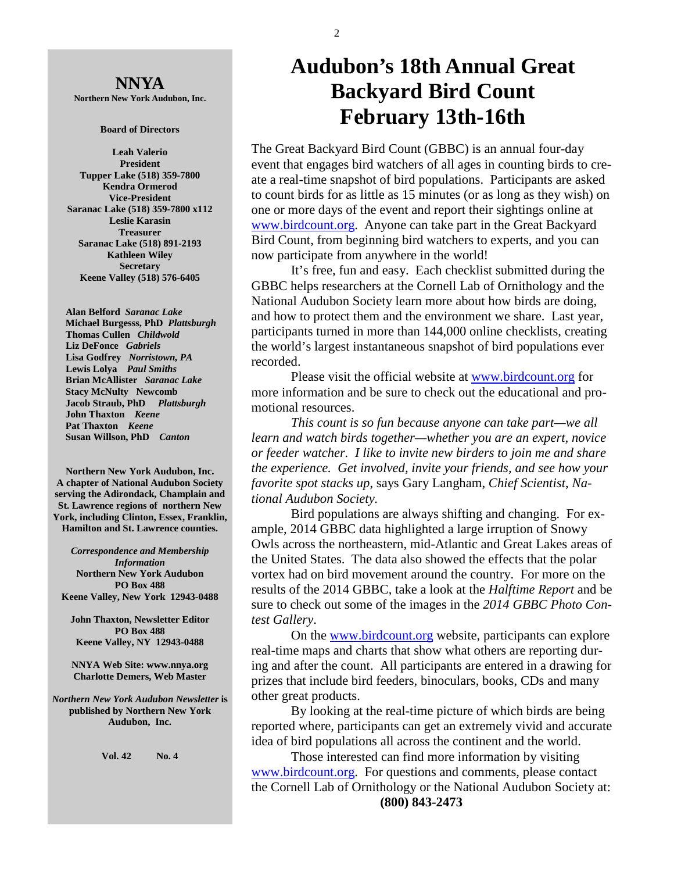**NNYA Northern New York Audubon, Inc.** 

#### **Board of Directors**

**Leah Valerio President Tupper Lake (518) 359-7800 Kendra Ormerod Vice-President Saranac Lake (518) 359-7800 x112 Leslie Karasin Treasurer Saranac Lake (518) 891-2193 Kathleen Wiley Secretary Keene Valley (518) 576-6405** 

 **Alan Belford** *Saranac Lake* **Michael Burgesss, PhD** *Plattsburgh*   **Thomas Cullen** *Childwold* **Liz DeFonce** *Gabriels* **Lisa Godfrey** *Norristown, PA* **Lewis Lolya** *Paul Smiths*  **Brian McAllister** *Saranac Lake* **Stacy McNulty Newcomb Jacob Straub, PhD** *Plattsburgh* **John Thaxton** *Keene* **Pat Thaxton** *Keene* **Susan Willson, PhD** *Canton* 

**Northern New York Audubon, Inc. A chapter of National Audubon Society serving the Adirondack, Champlain and St. Lawrence regions of northern New York, including Clinton, Essex, Franklin, Hamilton and St. Lawrence counties.** 

*Correspondence and Membership Information* **Northern New York Audubon PO Box 488 Keene Valley, New York 12943-0488** 

**John Thaxton, Newsletter Editor PO Box 488 Keene Valley, NY 12943-0488** 

**NNYA Web Site: www.nnya.org Charlotte Demers, Web Master**

*Northern New York Audubon Newsletter* **is published by Northern New York Audubon, Inc.** 

**Vol. 42 No. 4** 

## **Audubon's 18th Annual Great Backyard Bird Count February 13th-16th**

The Great Backyard Bird Count (GBBC) is an annual four-day event that engages bird watchers of all ages in counting birds to create a real-time snapshot of bird populations. Participants are asked to count birds for as little as 15 minutes (or as long as they wish) on one or more days of the event and report their sightings online at www.birdcount.org. Anyone can take part in the Great Backyard Bird Count, from beginning bird watchers to experts, and you can now participate from anywhere in the world!

 It's free, fun and easy. Each checklist submitted during the GBBC helps researchers at the Cornell Lab of Ornithology and the National Audubon Society learn more about how birds are doing, and how to protect them and the environment we share. Last year, participants turned in more than 144,000 online checklists, creating the world's largest instantaneous snapshot of bird populations ever recorded.

 Please visit the official website at www.birdcount.org for more information and be sure to check out the educational and promotional resources.

*This count is so fun because anyone can take part—we all learn and watch birds together—whether you are an expert, novice or feeder watcher. I like to invite new birders to join me and share the experience. Get involved, invite your friends, and see how your favorite spot stacks up*, says Gary Langham, *Chief Scientist*, *National Audubon Society.*

 Bird populations are always shifting and changing. For example, 2014 GBBC data highlighted a large irruption of Snowy Owls across the northeastern, mid-Atlantic and Great Lakes areas of the United States. The data also showed the effects that the polar vortex had on bird movement around the country. For more on the results of the 2014 GBBC, take a look at the *Halftime Report* and be sure to check out some of the images in the *2014 GBBC Photo Contest Gallery*.

 On the www.birdcount.org website, participants can explore real-time maps and charts that show what others are reporting during and after the count. All participants are entered in a drawing for prizes that include bird feeders, binoculars, books, CDs and many other great products.

 By looking at the real-time picture of which birds are being reported where, participants can get an extremely vivid and accurate idea of bird populations all across the continent and the world.

 Those interested can find more information by visiting www.birdcount.org. For questions and comments, please contact the Cornell Lab of Ornithology or the National Audubon Society at: **(800) 843-2473**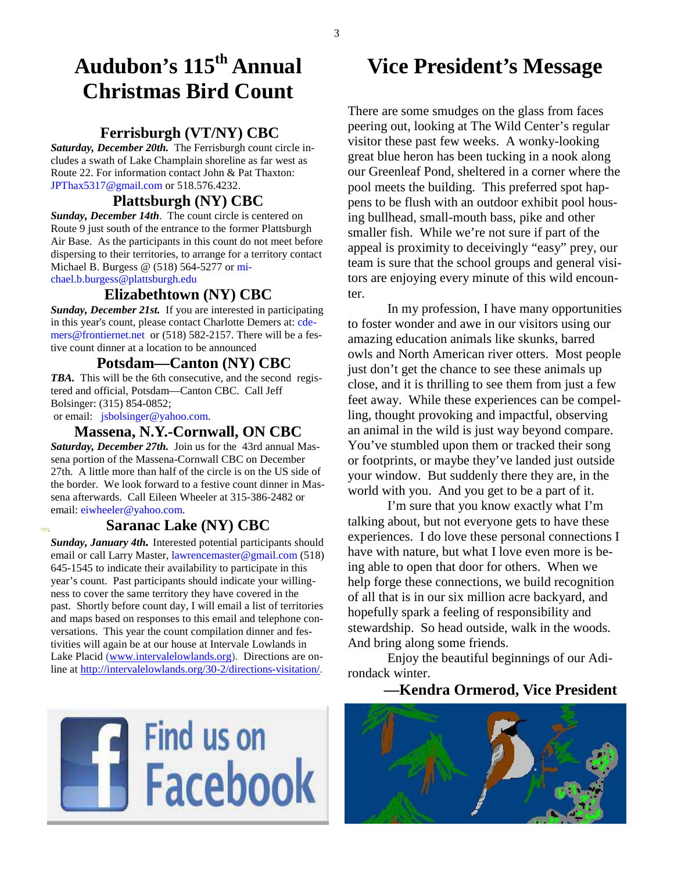## **Audubon's 115th Annual Christmas Bird Count**

#### **Ferrisburgh (VT/NY) CBC**

*Saturday, December 20th.* The Ferrisburgh count circle includes a swath of Lake Champlain shoreline as far west as Route 22. For information contact John & Pat Thaxton: JPThax5317@gmail.com or 518.576.4232.

#### **Plattsburgh (NY) CBC**

*Sunday, December 14th*. The count circle is centered on Route 9 just south of the entrance to the former Plattsburgh Air Base. As the participants in this count do not meet before dispersing to their territories, to arrange for a territory contact Michael B. Burgess @ (518) 564-5277 or michael.b.burgess@plattsburgh.edu

#### **Elizabethtown (NY) CBC**

*Sunday, December 21st.* If you are interested in participating in this year's count, please contact Charlotte Demers at: cdemers@frontiernet.net or (518) 582-2157. There will be a festive count dinner at a location to be announced

#### **Potsdam—Canton (NY) CBC**

*TBA.* This will be the 6th consecutive, and the second registered and official, Potsdam—Canton CBC. Call Jeff Bolsinger: (315) 854-0852;

or email: jsbolsinger@yahoo.com.

Grand

#### **Massena, N.Y.-Cornwall, ON CBC**

*Saturday, December 27th.* Join us for the 43rd annual Massena portion of the Massena-Cornwall CBC on December 27th. A little more than half of the circle is on the US side of the border. We look forward to a festive count dinner in Massena afterwards. Call Eileen Wheeler at 315-386-2482 or email: eiwheeler@yahoo.com.

#### **Saranac Lake (NY) CBC**

*Sunday, January 4th.* Interested potential participants should email or call Larry Master, lawrencemaster@gmail.com (518) 645-1545 to indicate their availability to participate in this year's count. Past participants should indicate your willingness to cover the same territory they have covered in the past. Shortly before count day, I will email a list of territories and maps based on responses to this email and telephone conversations. This year the count compilation dinner and festivities will again be at our house at Intervale Lowlands in Lake Placid (www.intervalelowlands.org). Directions are online at http://intervalelowlands.org/30-2/directions-visitation/.



### **Vice President's Message**

There are some smudges on the glass from faces peering out, looking at The Wild Center's regular visitor these past few weeks. A wonky-looking great blue heron has been tucking in a nook along our Greenleaf Pond, sheltered in a corner where the pool meets the building. This preferred spot happens to be flush with an outdoor exhibit pool housing bullhead, small-mouth bass, pike and other smaller fish. While we're not sure if part of the appeal is proximity to deceivingly "easy" prey, our team is sure that the school groups and general visitors are enjoying every minute of this wild encounter.

 In my profession, I have many opportunities to foster wonder and awe in our visitors using our amazing education animals like skunks, barred owls and North American river otters. Most people just don't get the chance to see these animals up close, and it is thrilling to see them from just a few feet away. While these experiences can be compelling, thought provoking and impactful, observing an animal in the wild is just way beyond compare. You've stumbled upon them or tracked their song or footprints, or maybe they've landed just outside your window. But suddenly there they are, in the world with you. And you get to be a part of it.

 I'm sure that you know exactly what I'm talking about, but not everyone gets to have these experiences. I do love these personal connections I have with nature, but what I love even more is being able to open that door for others. When we help forge these connections, we build recognition of all that is in our six million acre backyard, and hopefully spark a feeling of responsibility and stewardship. So head outside, walk in the woods. And bring along some friends.

 Enjoy the beautiful beginnings of our Adirondack winter.

#### **—Kendra Ormerod, Vice President**

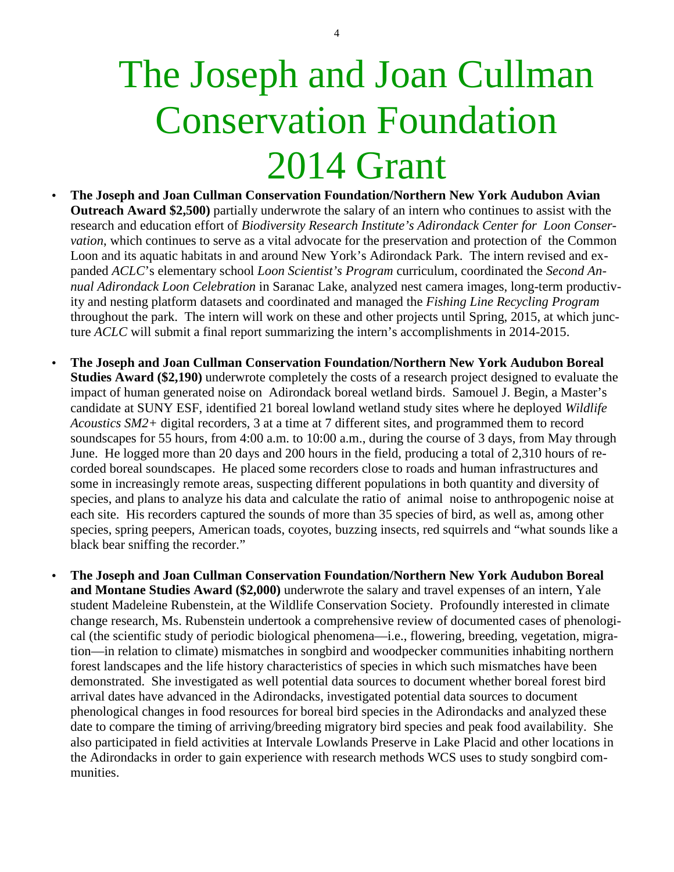# The Joseph and Joan Cullman Conservation Foundation 2014 Grant

- **The Joseph and Joan Cullman Conservation Foundation/Northern New York Audubon Avian Outreach Award \$2,500)** partially underwrote the salary of an intern who continues to assist with the research and education effort of *Biodiversity Research Institute's Adirondack Center for Loon Conservation*, which continues to serve as a vital advocate for the preservation and protection of the Common Loon and its aquatic habitats in and around New York's Adirondack Park. The intern revised and expanded *ACLC*'s elementary school *Loon Scientist's Program* curriculum, coordinated the *Second Annual Adirondack Loon Celebration* in Saranac Lake, analyzed nest camera images, long-term productivity and nesting platform datasets and coordinated and managed the *Fishing Line Recycling Program* throughout the park. The intern will work on these and other projects until Spring, 2015, at which juncture *ACLC* will submit a final report summarizing the intern's accomplishments in 2014-2015.
- **The Joseph and Joan Cullman Conservation Foundation/Northern New York Audubon Boreal Studies Award (\$2,190)** underwrote completely the costs of a research project designed to evaluate the impact of human generated noise on Adirondack boreal wetland birds. Samouel J. Begin, a Master's candidate at SUNY ESF, identified 21 boreal lowland wetland study sites where he deployed *Wildlife Acoustics SM2+* digital recorders, 3 at a time at 7 different sites, and programmed them to record soundscapes for 55 hours, from 4:00 a.m. to 10:00 a.m., during the course of 3 days, from May through June. He logged more than 20 days and 200 hours in the field, producing a total of 2,310 hours of recorded boreal soundscapes. He placed some recorders close to roads and human infrastructures and some in increasingly remote areas, suspecting different populations in both quantity and diversity of species, and plans to analyze his data and calculate the ratio of animal noise to anthropogenic noise at each site. His recorders captured the sounds of more than 35 species of bird, as well as, among other species, spring peepers, American toads, coyotes, buzzing insects, red squirrels and "what sounds like a black bear sniffing the recorder."
- **The Joseph and Joan Cullman Conservation Foundation/Northern New York Audubon Boreal and Montane Studies Award (\$2,000)** underwrote the salary and travel expenses of an intern, Yale student Madeleine Rubenstein, at the Wildlife Conservation Society. Profoundly interested in climate change research, Ms. Rubenstein undertook a comprehensive review of documented cases of phenological (the scientific study of periodic biological phenomena—i.e., flowering, breeding, vegetation, migration—in relation to climate) mismatches in songbird and woodpecker communities inhabiting northern forest landscapes and the life history characteristics of species in which such mismatches have been demonstrated. She investigated as well potential data sources to document whether boreal forest bird arrival dates have advanced in the Adirondacks, investigated potential data sources to document phenological changes in food resources for boreal bird species in the Adirondacks and analyzed these date to compare the timing of arriving/breeding migratory bird species and peak food availability. She also participated in field activities at Intervale Lowlands Preserve in Lake Placid and other locations in the Adirondacks in order to gain experience with research methods WCS uses to study songbird communities.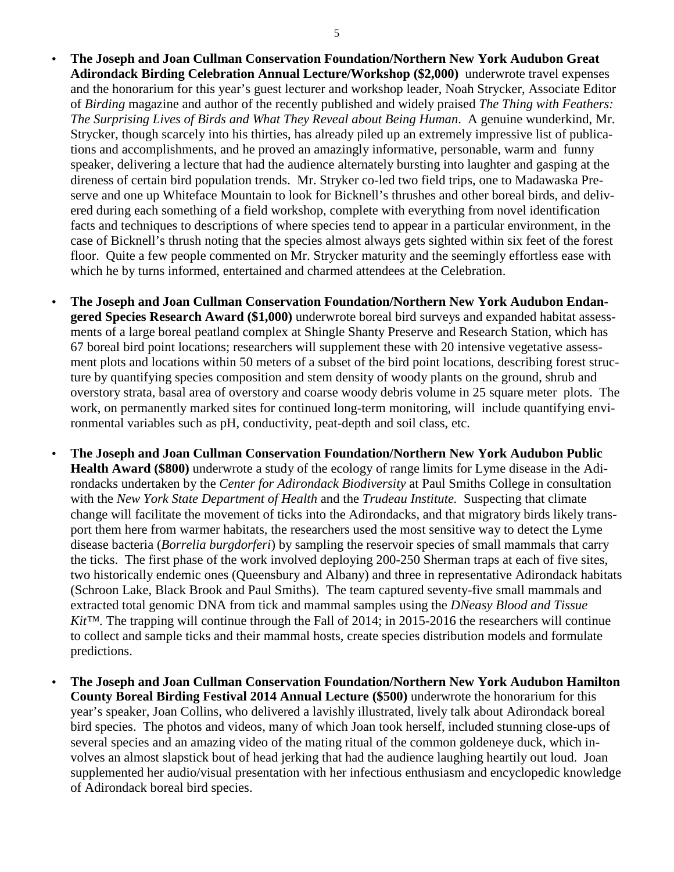- **The Joseph and Joan Cullman Conservation Foundation/Northern New York Audubon Great Adirondack Birding Celebration Annual Lecture/Workshop (\$2,000)** underwrote travel expenses and the honorarium for this year's guest lecturer and workshop leader, Noah Strycker, Associate Editor of *Birding* magazine and author of the recently published and widely praised *The Thing with Feathers: The Surprising Lives of Birds and What They Reveal about Being Human*. A genuine wunderkind, Mr. Strycker, though scarcely into his thirties, has already piled up an extremely impressive list of publications and accomplishments, and he proved an amazingly informative, personable, warm and funny speaker, delivering a lecture that had the audience alternately bursting into laughter and gasping at the direness of certain bird population trends. Mr. Stryker co-led two field trips, one to Madawaska Preserve and one up Whiteface Mountain to look for Bicknell's thrushes and other boreal birds, and delivered during each something of a field workshop, complete with everything from novel identification facts and techniques to descriptions of where species tend to appear in a particular environment, in the case of Bicknell's thrush noting that the species almost always gets sighted within six feet of the forest floor. Quite a few people commented on Mr. Strycker maturity and the seemingly effortless ease with which he by turns informed, entertained and charmed attendees at the Celebration.
- **The Joseph and Joan Cullman Conservation Foundation/Northern New York Audubon Endangered Species Research Award (\$1,000)** underwrote boreal bird surveys and expanded habitat assessments of a large boreal peatland complex at Shingle Shanty Preserve and Research Station, which has 67 boreal bird point locations; researchers will supplement these with 20 intensive vegetative assessment plots and locations within 50 meters of a subset of the bird point locations, describing forest structure by quantifying species composition and stem density of woody plants on the ground, shrub and overstory strata, basal area of overstory and coarse woody debris volume in 25 square meter plots. The work, on permanently marked sites for continued long-term monitoring, will include quantifying environmental variables such as pH, conductivity, peat-depth and soil class, etc.
- **The Joseph and Joan Cullman Conservation Foundation/Northern New York Audubon Public Health Award (\$800)** underwrote a study of the ecology of range limits for Lyme disease in the Adirondacks undertaken by the *Center for Adirondack Biodiversity* at Paul Smiths College in consultation with the *New York State Department of Health* and the *Trudeau Institute.* Suspecting that climate change will facilitate the movement of ticks into the Adirondacks, and that migratory birds likely transport them here from warmer habitats, the researchers used the most sensitive way to detect the Lyme disease bacteria (*Borrelia burgdorferi*) by sampling the reservoir species of small mammals that carry the ticks. The first phase of the work involved deploying 200-250 Sherman traps at each of five sites, two historically endemic ones (Queensbury and Albany) and three in representative Adirondack habitats (Schroon Lake, Black Brook and Paul Smiths). The team captured seventy-five small mammals and extracted total genomic DNA from tick and mammal samples using the *DNeasy Blood and Tissue Kit™.* The trapping will continue through the Fall of 2014; in 2015-2016 the researchers will continue to collect and sample ticks and their mammal hosts, create species distribution models and formulate predictions.
- **The Joseph and Joan Cullman Conservation Foundation/Northern New York Audubon Hamilton County Boreal Birding Festival 2014 Annual Lecture (\$500)** underwrote the honorarium for this year's speaker, Joan Collins, who delivered a lavishly illustrated, lively talk about Adirondack boreal bird species. The photos and videos, many of which Joan took herself, included stunning close-ups of several species and an amazing video of the mating ritual of the common goldeneye duck, which involves an almost slapstick bout of head jerking that had the audience laughing heartily out loud. Joan supplemented her audio/visual presentation with her infectious enthusiasm and encyclopedic knowledge of Adirondack boreal bird species.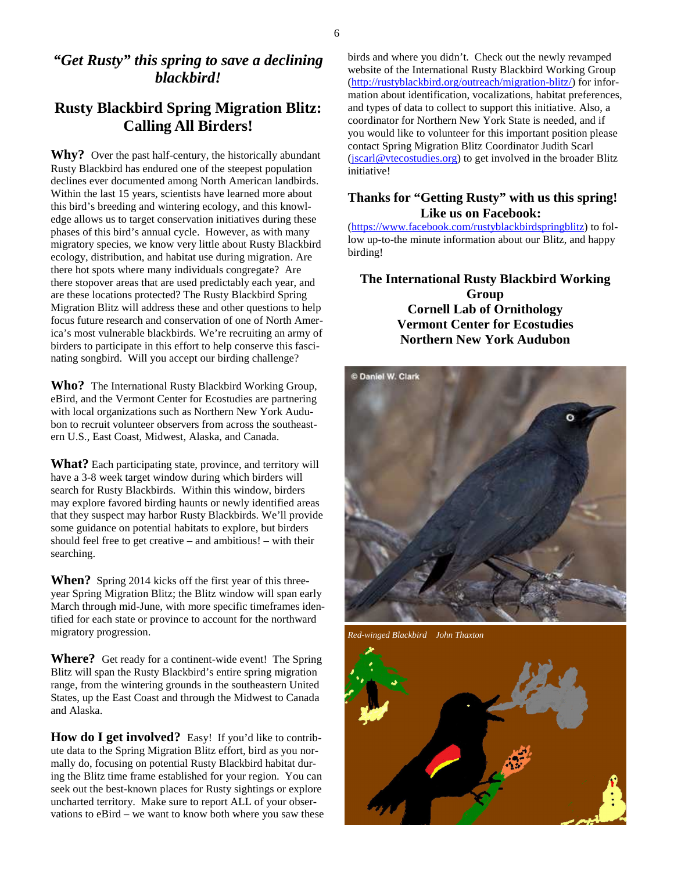#### *"Get Rusty" this spring to save a declining blackbird!*

#### **Rusty Blackbird Spring Migration Blitz: Calling All Birders!**

Why? Over the past half-century, the historically abundant Rusty Blackbird has endured one of the steepest population declines ever documented among North American landbirds. Within the last 15 years, scientists have learned more about this bird's breeding and wintering ecology, and this knowledge allows us to target conservation initiatives during these phases of this bird's annual cycle. However, as with many migratory species, we know very little about Rusty Blackbird ecology, distribution, and habitat use during migration. Are there hot spots where many individuals congregate? Are there stopover areas that are used predictably each year, and are these locations protected? The Rusty Blackbird Spring Migration Blitz will address these and other questions to help focus future research and conservation of one of North America's most vulnerable blackbirds. We're recruiting an army of birders to participate in this effort to help conserve this fascinating songbird. Will you accept our birding challenge?

**Who?** The International Rusty Blackbird Working Group, eBird, and the Vermont Center for Ecostudies are partnering with local organizations such as Northern New York Audubon to recruit volunteer observers from across the southeastern U.S., East Coast, Midwest, Alaska, and Canada.

**What?** Each participating state, province, and territory will have a 3-8 week target window during which birders will search for Rusty Blackbirds. Within this window, birders may explore favored birding haunts or newly identified areas that they suspect may harbor Rusty Blackbirds. We'll provide some guidance on potential habitats to explore, but birders should feel free to get creative – and ambitious! – with their searching.

**When?** Spring 2014 kicks off the first year of this threeyear Spring Migration Blitz; the Blitz window will span early March through mid-June, with more specific timeframes identified for each state or province to account for the northward migratory progression.

**Where?** Get ready for a continent-wide event! The Spring Blitz will span the Rusty Blackbird's entire spring migration range, from the wintering grounds in the southeastern United States, up the East Coast and through the Midwest to Canada and Alaska.

**How do I get involved?** Easy! If you'd like to contribute data to the Spring Migration Blitz effort, bird as you normally do, focusing on potential Rusty Blackbird habitat during the Blitz time frame established for your region. You can seek out the best-known places for Rusty sightings or explore uncharted territory. Make sure to report ALL of your observations to eBird – we want to know both where you saw these birds and where you didn't. Check out the newly revamped website of the International Rusty Blackbird Working Group (http://rustyblackbird.org/outreach/migration-blitz/) for information about identification, vocalizations, habitat preferences, and types of data to collect to support this initiative. Also, a coordinator for Northern New York State is needed, and if you would like to volunteer for this important position please contact Spring Migration Blitz Coordinator Judith Scarl (jscarl@vtecostudies.org) to get involved in the broader Blitz initiative!

#### **Thanks for "Getting Rusty" with us this spring! Like us on Facebook:**

(https://www.facebook.com/rustyblackbirdspringblitz) to follow up-to-the minute information about our Blitz, and happy birding!

**The International Rusty Blackbird Working Group Cornell Lab of Ornithology Vermont Center for Ecostudies Northern New York Audubon** 



*Red-winged Blackbird John Thaxton* 

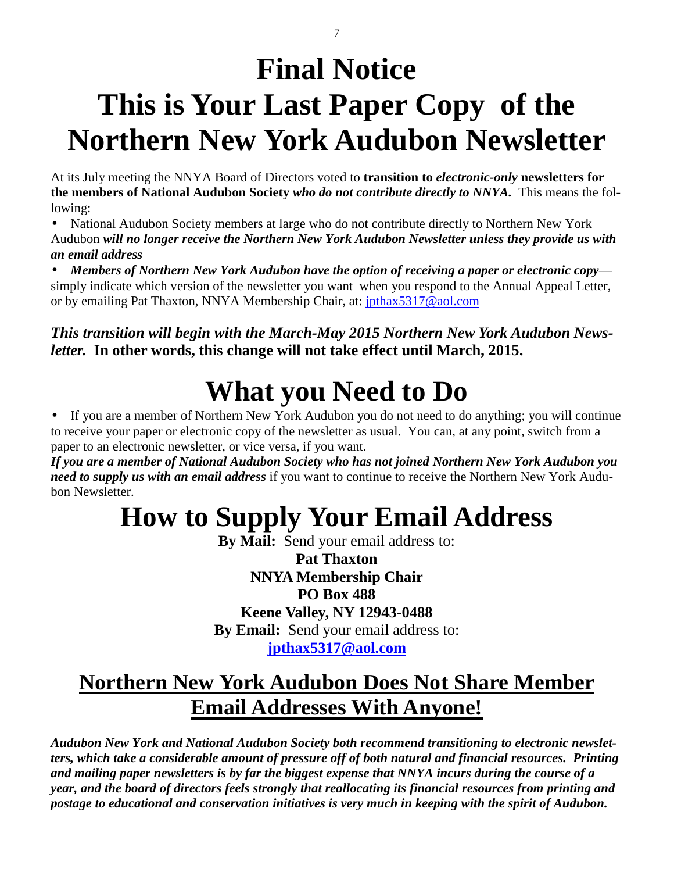# **Final Notice This is Your Last Paper Copy of the Northern New York Audubon Newsletter**

At its July meeting the NNYA Board of Directors voted to **transition to** *electronic-only* **newsletters for the members of National Audubon Society** *who do not contribute directly to NNYA.* This means the following:

• National Audubon Society members at large who do not contribute directly to Northern New York Audubon *will no longer receive the Northern New York Audubon Newsletter unless they provide us with an email address*

• *Members of Northern New York Audubon have the option of receiving a paper or electronic copy* simply indicate which version of the newsletter you want when you respond to the Annual Appeal Letter, or by emailing Pat Thaxton, NNYA Membership Chair, at: jpthax5317@aol.com

*This transition will begin with the March-May 2015 Northern New York Audubon Newsletter.* **In other words, this change will not take effect until March, 2015.** 

# **What you Need to Do**

• If you are a member of Northern New York Audubon you do not need to do anything; you will continue to receive your paper or electronic copy of the newsletter as usual. You can, at any point, switch from a paper to an electronic newsletter, or vice versa, if you want.

*If you are a member of National Audubon Society who has not joined Northern New York Audubon you need to supply us with an email address* if you want to continue to receive the Northern New York Audubon Newsletter.

## **How to Supply Your Email Address**

**By Mail:** Send your email address to: **Pat Thaxton NNYA Membership Chair PO Box 488 Keene Valley, NY 12943-0488 By Email:** Send your email address to: **jpthax5317@aol.com**

## **Northern New York Audubon Does Not Share Member Email Addresses With Anyone!**

*Audubon New York and National Audubon Society both recommend transitioning to electronic newsletters, which take a considerable amount of pressure off of both natural and financial resources. Printing and mailing paper newsletters is by far the biggest expense that NNYA incurs during the course of a year, and the board of directors feels strongly that reallocating its financial resources from printing and postage to educational and conservation initiatives is very much in keeping with the spirit of Audubon.* 

7